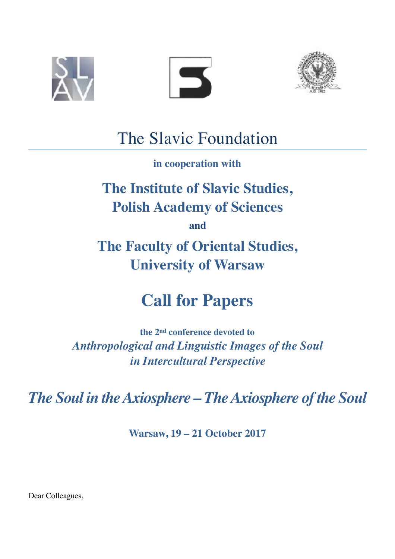





### The Slavic Foundation

**in cooperation with**

## **The Institute of Slavic Studies, Polish Academy of Sciences**

**and**

**The Faculty of Oriental Studies, University of Warsaw**

# **Call for Papers**

**the 2nd conference devoted to** *Anthropological and Linguistic Images of the Soul in Intercultural Perspective* 

*The Soul in the Axiosphere – The Axiosphere of the Soul* 

**Warsaw, 19 – 21 October 2017** 

Dear Colleagues,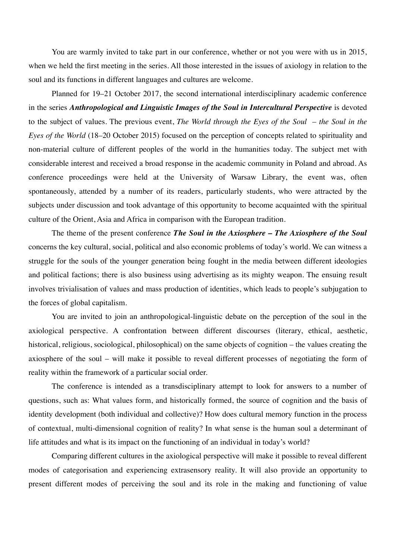You are warmly invited to take part in our conference, whether or not you were with us in 2015, when we held the first meeting in the series. All those interested in the issues of axiology in relation to the soul and its functions in different languages and cultures are welcome.

Planned for 19–21 October 2017, the second international interdisciplinary academic conference in the series *Anthropological and Linguistic Images of the Soul in Intercultural Perspective* is devoted to the subject of values. The previous event, *The World through the Eyes of the Soul* – *the Soul in the Eyes of the World* (18–20 October 2015) focused on the perception of concepts related to spirituality and non-material culture of different peoples of the world in the humanities today. The subject met with considerable interest and received a broad response in the academic community in Poland and abroad. As conference proceedings were held at the University of Warsaw Library, the event was, often spontaneously, attended by a number of its readers, particularly students, who were attracted by the subjects under discussion and took advantage of this opportunity to become acquainted with the spiritual culture of the Orient, Asia and Africa in comparison with the European tradition.

The theme of the present conference *The Soul in the Axiosphere – The Axiosphere of the Soul*  concerns the key cultural, social, political and also economic problems of today's world. We can witness a struggle for the souls of the younger generation being fought in the media between different ideologies and political factions; there is also business using advertising as its mighty weapon. The ensuing result involves trivialisation of values and mass production of identities, which leads to people's subjugation to the forces of global capitalism.

You are invited to join an anthropological-linguistic debate on the perception of the soul in the axiological perspective. A confrontation between different discourses (literary, ethical, aesthetic, historical, religious, sociological, philosophical) on the same objects of cognition – the values creating the axiosphere of the soul – will make it possible to reveal different processes of negotiating the form of reality within the framework of a particular social order.

The conference is intended as a transdisciplinary attempt to look for answers to a number of questions, such as: What values form, and historically formed, the source of cognition and the basis of identity development (both individual and collective)? How does cultural memory function in the process of contextual, multi-dimensional cognition of reality? In what sense is the human soul a determinant of life attitudes and what is its impact on the functioning of an individual in today's world?

Comparing different cultures in the axiological perspective will make it possible to reveal different modes of categorisation and experiencing extrasensory reality. It will also provide an opportunity to present different modes of perceiving the soul and its role in the making and functioning of value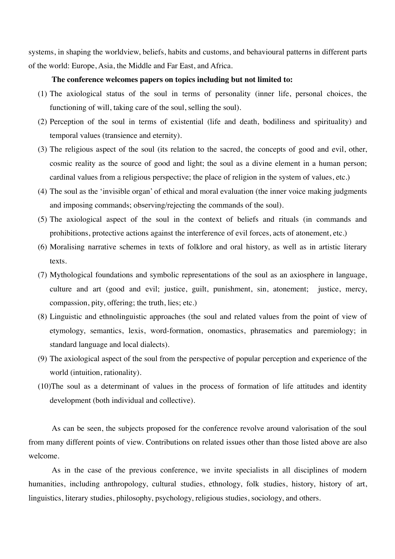systems, in shaping the worldview, beliefs, habits and customs, and behavioural patterns in different parts of the world: Europe, Asia, the Middle and Far East, and Africa.

#### **The conference welcomes papers on topics including but not limited to:**

- (1) The axiological status of the soul in terms of personality (inner life, personal choices, the functioning of will, taking care of the soul, selling the soul).
- (2) Perception of the soul in terms of existential (life and death, bodiliness and spirituality) and temporal values (transience and eternity).
- (3) The religious aspect of the soul (its relation to the sacred, the concepts of good and evil, other, cosmic reality as the source of good and light; the soul as a divine element in a human person; cardinal values from a religious perspective; the place of religion in the system of values, etc.)
- (4) The soul as the 'invisible organ' of ethical and moral evaluation (the inner voice making judgments and imposing commands; observing/rejecting the commands of the soul).
- (5) The axiological aspect of the soul in the context of beliefs and rituals (in commands and prohibitions, protective actions against the interference of evil forces, acts of atonement, etc.)
- (6) Moralising narrative schemes in texts of folklore and oral history, as well as in artistic literary texts.
- (7) Mythological foundations and symbolic representations of the soul as an axiosphere in language, culture and art (good and evil; justice, guilt, punishment, sin, atonement; justice, mercy, compassion, pity, offering; the truth, lies; etc.)
- (8) Linguistic and ethnolinguistic approaches (the soul and related values from the point of view of etymology, semantics, lexis, word-formation, onomastics, phrasematics and paremiology; in standard language and local dialects).
- (9) The axiological aspect of the soul from the perspective of popular perception and experience of the world (intuition, rationality).
- (10)The soul as a determinant of values in the process of formation of life attitudes and identity development (both individual and collective).

As can be seen, the subjects proposed for the conference revolve around valorisation of the soul from many different points of view. Contributions on related issues other than those listed above are also welcome.

As in the case of the previous conference, we invite specialists in all disciplines of modern humanities, including anthropology, cultural studies, ethnology, folk studies, history, history of art, linguistics, literary studies, philosophy, psychology, religious studies, sociology, and others.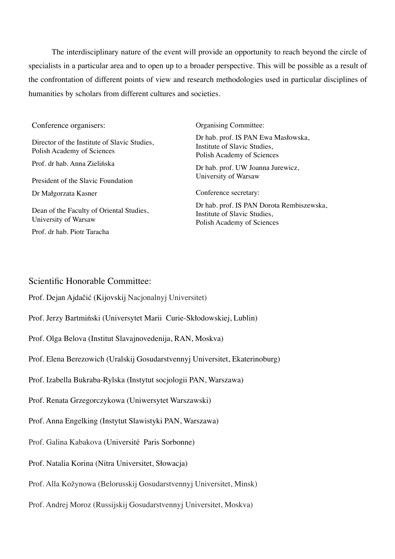The interdisciplinary nature of the event will provide an opportunity to reach beyond the circle of specialists in a particular area and to open up to a broader perspective. This will be possible as a result of the confrontation of different points of view and research methodologies used in particular disciplines of humanities by scholars from different cultures and societies.

| Conference organisers:                                                     | <b>Organising Committee:</b>                                                                            |
|----------------------------------------------------------------------------|---------------------------------------------------------------------------------------------------------|
| Director of the Institute of Slavic Studies,<br>Polish Academy of Sciences | Dr hab. prof. IS PAN Ewa Masłowska,<br>Institute of Slavic Studies,<br>Polish Academy of Sciences       |
| Prof. dr hab. Anna Zielińska                                               | Dr hab. prof. UW Joanna Jurewicz,<br>University of Warsaw                                               |
| President of the Slavic Foundation                                         |                                                                                                         |
| Dr Małgorzata Kasner                                                       | Conference secretary:                                                                                   |
| Dean of the Faculty of Oriental Studies,<br>University of Warsaw           | Dr hab. prof. IS PAN Dorota Rembiszewska,<br>Institute of Slavic Studies,<br>Polish Academy of Sciences |
| Prof. dr hab. Piotr Taracha                                                |                                                                                                         |

### Scientific Honorable Committee:

Prof. Dejan Ajdačić (Kijovskij Nacjonalnyj Universitet)

- Prof. Jerzy Bartmiński (Universytet Marii Curie-Skłodowskiej, Lublin)
- Prof. Olga Belova (Institut Slavajnovedenija, RAN, Moskva)
- Prof. Elena Berezowich (Uralskij Gosudarstvennyj Universitet, Ekaterinoburg)
- Prof. Izabella Bukraba-Rylska (Instytut socjologii PAN, Warszawa)
- Prof. Renata Grzegorczykowa (Uniwersytet Warszawski)

Prof. Anna Engelking (Instytut Slawistyki PAN, Warszawa)

- Prof. Galina Kabakova (Université Paris Sorbonne)
- Prof. Natalia Korina (Nitra Universitet, Słowacja)
- Prof. Alla Kožynowa (Belorusskij Gosudarstvennyj Universitet, Minsk)
- Prof. Andrej Moroz (Russijskij Gosudarstvennyj Universitet, Moskva)